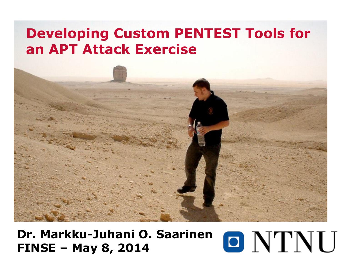#### **Developing Custom PENTEST Tools for an APT Attack Exercise**



#### **Dr. Markku-Juhani O. Saarinen FINSE – May 8, 2014**

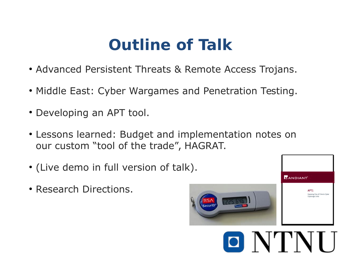### **Outline of Talk**

- Advanced Persistent Threats & Remote Access Trojans.
- Middle East: Cyber Wargames and Penetration Testing.
- Developing an APT tool.
- Lessons learned: Budget and implementation notes on our custom "tool of the trade", HAGRAT.
- (Live demo in full version of talk).
- Research Directions.



.<br>Exposing One of China's Cybe

N'I'N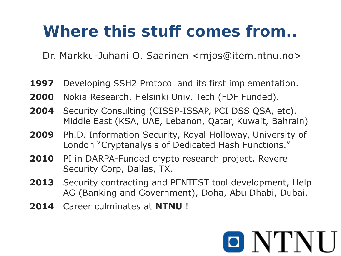### **Where this stuff comes from..**

Dr. Markku-Juhani O. Saarinen <mjos@item.ntnu.no>

- **1997** Developing SSH2 Protocol and its first implementation.
- **2000** Nokia Research, Helsinki Univ. Tech (FDF Funded).
- **2004** Security Consulting (CISSP-ISSAP, PCI DSS QSA, etc). Middle East (KSA, UAE, Lebanon, Qatar, Kuwait, Bahrain)
- **2009** Ph.D. Information Security, Royal Holloway, University of London "Cryptanalysis of Dedicated Hash Functions."
- **2010** PI in DARPA-Funded crypto research project, Revere Security Corp, Dallas, TX.
- **2013** Security contracting and PENTEST tool development, Help AG (Banking and Government), Doha, Abu Dhabi, Dubai.
- **2014** Career culminates at **NTNU** !

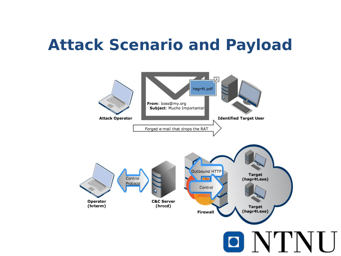### **Attack Scenario and Payload**

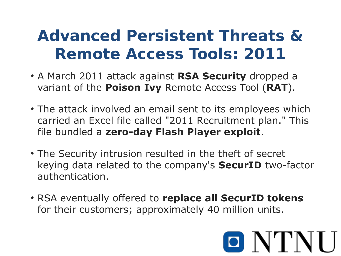### **Advanced Persistent Threats & Remote Access Tools: 2011**

- A March 2011 attack against **RSA Security** dropped a variant of the **Poison Ivy** Remote Access Tool (**RAT**).
- The attack involved an email sent to its employees which carried an Excel file called "2011 Recruitment plan." This file bundled a **zero-day Flash Player exploit**.
- The Security intrusion resulted in the theft of secret keying data related to the company's **SecurID** two-factor authentication.
- RSA eventually offered to **replace all SecurID tokens** for their customers; approximately 40 million units.

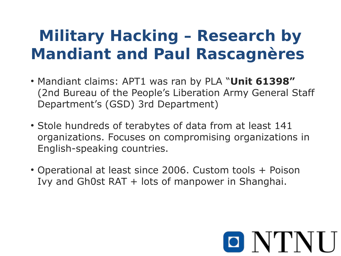### **Military Hacking – Research by Mandiant and Paul Rascagnères**

- Mandiant claims: APT1 was ran by PLA "**Unit 61398"**  (2nd Bureau of the People's Liberation Army General Staff Department's (GSD) 3rd Department)
- Stole hundreds of terabytes of data from at least 141 organizations. Focuses on compromising organizations in English-speaking countries.
- Operational at least since 2006. Custom tools + Poison Ivy and Gh0st RAT + lots of manpower in Shanghai.

O NTNI I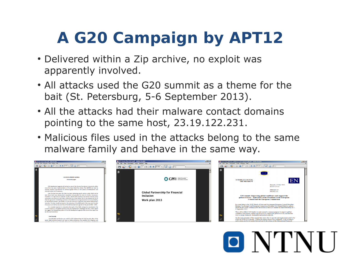### **A G20 Campaign by APT12**

- Delivered within a Zip archive, no exploit was apparently involved.
- All attacks used the G20 summit as a theme for the bait (St. Petersburg, 5-6 September 2013).
- All the attacks had their malware contact domains pointing to the same host, 23.19.122.231.
- Malicious files used in the attacks belong to the same malware family and behave in the same way.

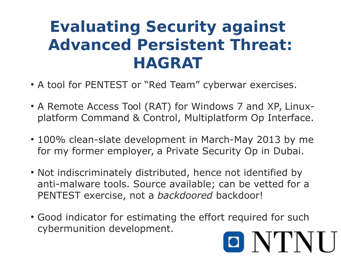### **Evaluating Security against Advanced Persistent Threat: HAGRAT**

- A tool for PENTEST or "Red Team" cyberwar exercises.
- A Remote Access Tool (RAT) for Windows 7 and XP, Linuxplatform Command & Control, Multiplatform Op Interface.
- 100% clean-slate development in March-May 2013 by me for my former employer, a Private Security Op in Dubai.
- Not indiscriminately distributed, hence not identified by anti-malware tools. Source available; can be vetted for a PENTEST exercise, not a *backdoored* backdoor!
- Good indicator for estimating the effort required for such cybermunition development.O NTNI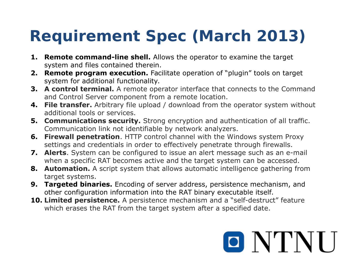### **Requirement Spec (March 2013)**

- **1. Remote command-line shell.** Allows the operator to examine the target system and files contained therein.
- **2. Remote program execution.** Facilitate operation of "plugin" tools on target system for additional functionality.
- **3. A control terminal.** A remote operator interface that connects to the Command and Control Server component from a remote location.
- **4. File transfer.** Arbitrary file upload / download from the operator system without additional tools or services.
- **5. Communications security.** Strong encryption and authentication of all traffic. Communication link not identifiable by network analyzers.
- **6. Firewall penetration**. HTTP control channel with the Windows system Proxy settings and credentials in order to effectively penetrate through firewalls.
- **7. Alerts**. System can be configured to issue an alert message such as an e-mail when a specific RAT becomes active and the target system can be accessed.
- **8. Automation.** A script system that allows automatic intelligence gathering from target systems.
- **9. Targeted binaries.** Encoding of server address, persistence mechanism, and other configuration information into the RAT binary executable itself.
- **10. Limited persistence.** A persistence mechanism and a "self-destruct" feature which erases the RAT from the target system after a specified date.

# O NTN U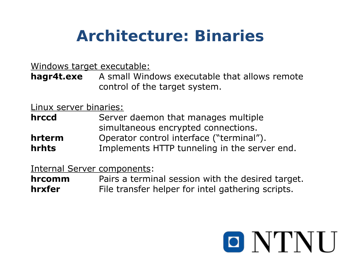### **Architecture: Binaries**

Windows target executable:

**hagr4t.exe** A small Windows executable that allows remote control of the target system.

Linux server binaries:

**hrccd** Server daemon that manages multiple simultaneous encrypted connections. **hrterm** Operator control interface ("terminal"). **hrhts** Implements HTTP tunneling in the server end.

Internal Server components:

**hrcomm** Pairs a terminal session with the desired target. **hrxfer** File transfer helper for intel gathering scripts.

# O NTNU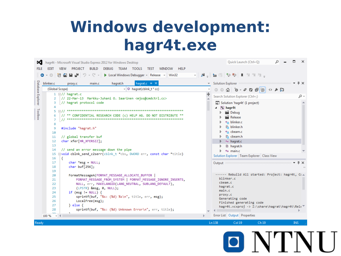### **Windows development: hagr4t.exe**

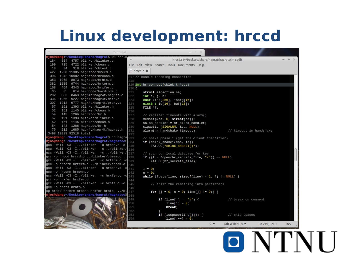#### **Linux development: hrccd**

|                        |                        | Terminal                                                    |                  |                                                                                        |  |
|------------------------|------------------------|-------------------------------------------------------------|------------------|----------------------------------------------------------------------------------------|--|
|                        |                        | njos@dang:~/Desktop/share/hagrat\$ wc */                    |                  |                                                                                        |  |
| 184                    |                        | 564 4757 blinker/blinker.c                                  |                  | hrccd.c (~/Desktop/share/hagrat/hagratcc) - gedit                                      |  |
| 199                    |                        | 725 4722 blinker/cbeam.c                                    |                  | File Edit View Search Tools Documents Help                                             |  |
| 18<br>427              | 34                     | 318 blinker/cbtest.c                                        | $hrccd.c \times$ |                                                                                        |  |
| 396                    |                        | 1208 11305 hagratcc/hrccd.c<br>1042 10982 hagratcc/hrconn.c |                  |                                                                                        |  |
| 353                    | 1068                   | 8973 hagratcc/hrhts.c                                       |                  | 217 // handle incoming connection                                                      |  |
| 382                    | 1035                   | 9744 hagratcc/hrterm.c                                      | 218              |                                                                                        |  |
| 168                    | 464                    | 4343 hagratcc/hrxfer.c                                      |                  | 219 int hr_connect(cblnk_t *cbs)                                                       |  |
| 35                     | 85                     | 614 hardcode/hardcode.c                                     | 220f<br>221      | struct sigaction sa;                                                                   |  |
| 292                    |                        | 863 8463 hagr4t/hagr4t/hagrat.c                             | 222              | int i, j, n;                                                                           |  |
| 336                    | 1056                   | 9227 hagr4t/hagr4t/main.c                                   | 223              | char line[256], $"sarg[16]$ ;                                                          |  |
| 307                    | 1013                   | 9777 hagr4t/hagr4t/proxy.c                                  | 224              | $uint8_t$ id[16], buf[16];                                                             |  |
| 57                     | 191                    | 1393 blinker/blinker.h                                      | 225              | FILE *f;                                                                               |  |
| 52                     |                        | 151 1145 blinker/cbeam.h                                    | 226              |                                                                                        |  |
| 54                     |                        | 143 1266 hagratcc/hr.h                                      | 227              | // register timeouts with alarm()                                                      |  |
| 57                     | 191                    | 1393 blinker/blinker.h                                      | 228              | memset(&sa, $\theta$ , sizeof(sa));                                                    |  |
| 52                     |                        | 151 1145 blinker/cbeam.h                                    | 229              | sa.sa_handler = hr_alarm_handler;                                                      |  |
| 54                     |                        | 143 1266 hagratcc/hr.h                                      | 230              | sigaction(SIGALRM, &sa, NULL);                                                         |  |
| 75                     | 3498 10339 92518 total | 212 1685 hagr4t/hagr4t/hagrat.h                             | 231              | alarm(hr_handshake_timeout);<br>// timeout in handshake                                |  |
|                        |                        | njos@dang:~/Desktop/share/hagrat\$ cd hagra                 | 232              |                                                                                        |  |
|                        |                        | ijos@dang:~/Desktop/share/hagrat/hagratcc\$                 | 233              | // shake phase 1 (get the client identifier)                                           |  |
|                        |                        | gcc -Wall -03 -I/blinker -c hrccd.c -o                      | 234              | $if (cblnk_shake1(cbs, id))$                                                           |  |
|                        |                        | gcc -Wall -03 -I/blinker -c /blinker/                       | 235              | FAILOG("cblnk_shake1()");                                                              |  |
|                        |                        | qcc -Wall -03 -I/blinker -c /blinker/                       | 236<br>237       |                                                                                        |  |
|                        |                        | gcc -o hrccd hrccd.o /blinker/cbeam.o                       | 238              | // scan our local database for key<br>if $((f = fopen/hr_secrets_file, "r")) == NULL)$ |  |
|                        |                        | gcc -Wall -03 -I/blinker -c hrterm.c -o                     | 239              | FAILOG(hr_secrets_file);                                                               |  |
|                        |                        | gcc -o hrterm hrterm.o /blinker/cbeam.o                     | 240              |                                                                                        |  |
|                        |                        | gcc -Wall -03 - I/blinker - c hrconn.c - o                  | 241              | $i = 0;$                                                                               |  |
|                        | gcc -o hrconn hrconn.o |                                                             | 242              | $n = 0$ :                                                                              |  |
|                        |                        | gcc -Wall -03 -I/blinker -c hrxfer.c -o                     | 243              | while (fgets(line, sizeof(line) - 1, f) != $NULL$ {                                    |  |
| gcc -o hrxfer hrxfer.o |                        |                                                             | 244              |                                                                                        |  |
|                        |                        | gcc -Wall -03 -I/blinker -c hrhts.c -o                      | 245              | // split the remaining into parameters                                                 |  |
| gcc -o hrhts hrhts.o   |                        |                                                             | 246              |                                                                                        |  |
|                        |                        | cp hrccd hrterm hrconn hrxfer hrhts /bi                     | 247              | for (j = 0, n = 0; line[j] != 0;) {                                                    |  |
|                        |                        | mjos@dang:~/Desktop/share/hagrat/hagratcc\$                 | 248              |                                                                                        |  |
|                        |                        |                                                             | 249              | <b>if</b> (line[j] == $'#$ ) {<br>// break on comment                                  |  |
|                        |                        |                                                             | 50               | $line[j] = 0;$                                                                         |  |
|                        |                        |                                                             |                  | break;                                                                                 |  |
|                        |                        |                                                             | 52               |                                                                                        |  |
|                        |                        |                                                             | 53<br>54         | // skip spaces<br>$if (isspace(line[j])) {$                                            |  |
|                        |                        |                                                             |                  | $line[j++] = 0;$                                                                       |  |
|                        |                        |                                                             |                  | $C -$<br>Tab Width: $4 \blacktriangleright$<br>Ln 219, Col 9<br><b>INS</b>             |  |
|                        |                        |                                                             |                  |                                                                                        |  |
|                        |                        |                                                             |                  |                                                                                        |  |
|                        |                        |                                                             |                  |                                                                                        |  |
|                        |                        |                                                             |                  |                                                                                        |  |
|                        |                        |                                                             |                  |                                                                                        |  |
|                        |                        |                                                             |                  |                                                                                        |  |
|                        |                        |                                                             |                  |                                                                                        |  |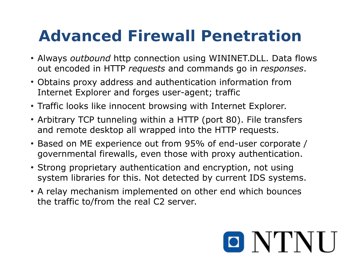### **Advanced Firewall Penetration**

- Always *outbound* http connection using WININET.DLL. Data flows out encoded in HTTP *requests* and commands go in *responses*.
- Obtains proxy address and authentication information from Internet Explorer and forges user-agent; traffic
- Traffic looks like innocent browsing with Internet Explorer.
- Arbitrary TCP tunneling within a HTTP (port 80). File transfers and remote desktop all wrapped into the HTTP requests.
- Based on ME experience out from 95% of end-user corporate / governmental firewalls, even those with proxy authentication.
- Strong proprietary authentication and encryption, not using system libraries for this. Not detected by current IDS systems.
- A relay mechanism implemented on other end which bounces the traffic to/from the real C2 server.

O NTNU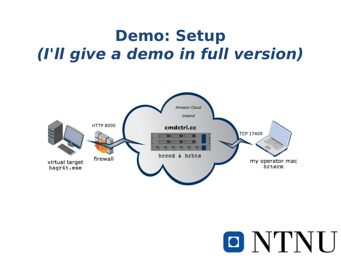### **Demo: Setup (I'll give a demo in full version)**



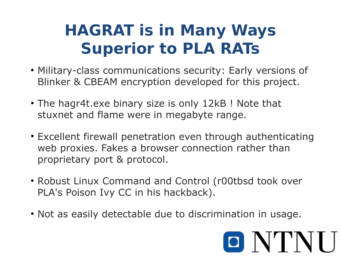### **HAGRAT is in Many Ways Superior to PLA RATs**

- Military-class communications security: Early versions of Blinker & CBEAM encryption developed for this project.
- The hagr4t.exe binary size is only 12kB ! Note that stuxnet and flame were in megabyte range.
- Excellent firewall penetration even through authenticating web proxies. Fakes a browser connection rather than proprietary port & protocol.
- Robust Linux Command and Control (r00tbsd took over PLA's Poison Ivy CC in his hackback).
- Not as easily detectable due to discrimination in usage.

## O N'I'N LI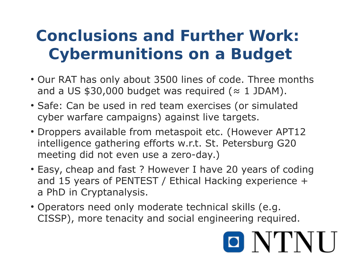### **Conclusions and Further Work: Cybermunitions on a Budget**

- Our RAT has only about 3500 lines of code. Three months and a US  $$30,000$  budget was required ( $\approx$  1 JDAM).
- Safe: Can be used in red team exercises (or simulated cyber warfare campaigns) against live targets.
- Droppers available from metaspoit etc. (However APT12 intelligence gathering efforts w.r.t. St. Petersburg G20 meeting did not even use a zero-day.)
- Easy, cheap and fast ? However I have 20 years of coding and 15 years of PENTEST / Ethical Hacking experience + a PhD in Cryptanalysis.
- Operators need only moderate technical skills (e.g. CISSP), more tenacity and social engineering required.

## O NTNI